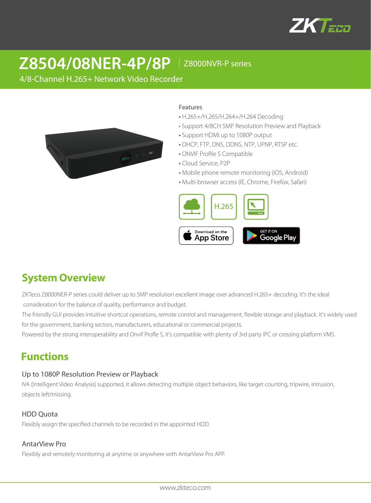

# **Z8504/08NER-4P/8P** │Z8000NVR-P series

4/8-Channel H.265+ Network Video Recorder



#### Features

- H.265+/H.265/H.264+/H.264 Decoding
- Support 4/8CH 5MP Resolution Preview and Playback
- Support HDMI up to 1080P output
- DHCP, FTP, DNS, DDNS, NTP, UPNP, RTSP etc.
- ONVIF Profile S Compatible
- Cloud Service, P2P
- Mobile phone remote monitoring (iOS, Android)
- Multi-browser access (IE, Chrome, Firefox, Safari)



## **System Overview**

ZKTeco Z8000NER-P series could deliver up to 5MP resolution excellent image over advanced H.265+ decoding. It's the ideal consideration for the balance of quality, performance and budget.

The friendly GUI provides intuitive shortcut operations, remote control and management, flexible storage and playback. It's widely used for the government, banking sectors, manufacturers, educational or commercial projects.

Powered by the strong interoperability and Onvif Profle S, it's compatible with plenty of 3rd party IPC or crossing platform VMS.

## **Functions**

### Up to 1080P Resolution Preview or Playback

IVA (Intelligent Video Analysis) supported, it allows detecting multiple object behaviors, like target counting, tripwire, intrusion, objects left/missing.

### HDD Quota

Flexibly assign the specified channels to be recorded in the appointed HDD.

#### AntarView Pro

Flexibly and remotely monitoring at anytime or anywhere with AntarView Pro APP.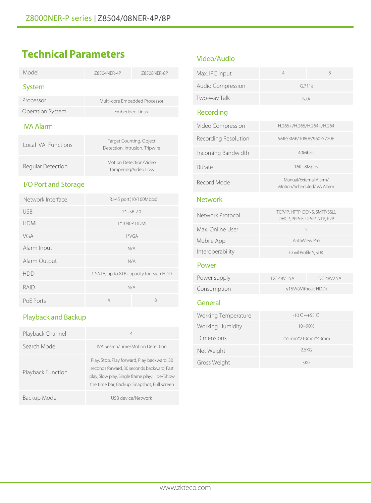## **Technical Parameters**

| Model                      | 78504NFR-4P                                               | 78508NFR-8P  |
|----------------------------|-----------------------------------------------------------|--------------|
| System                     |                                                           |              |
| Processor                  | Multi-core Embedded Processor                             |              |
| Operation System           | Embedded Linux                                            |              |
| <b>IVA Alarm</b>           |                                                           |              |
| <b>Local IVA Functions</b> | Target Counting, Object<br>Detection, Intrusion, Tripwire |              |
| Regular Detection          | Motion Detection/Video<br>Tampering/Video Loss            |              |
| I/O Port and Storage       |                                                           |              |
| Network Interface          | 1 RJ-45 port(10/100Mbps)                                  |              |
| <b>USB</b>                 | 2*USB 2.0                                                 |              |
| <b>HDMI</b>                |                                                           | 1*1080P HDMI |
| VGA                        | $1*VGA$                                                   |              |
| $\lambda$ larmalnnit       |                                                           |              |

| Alarm Input  |                                         | N/A |
|--------------|-----------------------------------------|-----|
| Alarm Output |                                         | N/A |
| <b>HDD</b>   | 1 SATA, up to 8TB capacity for each HDD |     |
| RAID         | N/A                                     |     |
| PoE Ports    | 4                                       | 8   |
|              |                                         |     |

## Playback and Backup

| Playback Channel  | 4                                                                                                                                                                                         |
|-------------------|-------------------------------------------------------------------------------------------------------------------------------------------------------------------------------------------|
| Search Mode       | IVA Search/Time/Motion Detection                                                                                                                                                          |
| Playback Function | Play, Stop, Play forward, Play backward, 30<br>seconds forward, 30 seconds backward, Fast<br>play, Slow play, Single frame play, Hide/Show<br>the time bar, Backup, Snapshot, Full screen |
| Backup Mode       | USB device/Network                                                                                                                                                                        |

### Video/Audio

| Max. IPC Input             | 4                                                             | 8          |
|----------------------------|---------------------------------------------------------------|------------|
| Audio Compression          | G.711a                                                        |            |
| Two-way Talk               | N/A                                                           |            |
| Recording                  |                                                               |            |
| Video Compression          | H.265+/H.265/H.264+/H.264                                     |            |
| Recording Resolution       | 5MP/3MP/1080P/960P/720P                                       |            |
| Incoming Bandwidth         | 40Mbps                                                        |            |
| Bitrate                    | 16K~8Mpbs                                                     |            |
| Record Mode                | Manual/External Alarm/<br>Motion/Scheduled/IVA Alarm          |            |
| <b>Network</b>             |                                                               |            |
| Network Protocol           | TCP/IP, HTTP, DDNS, SMTP(SSL),<br>DHCP, PPPoE, UPnP, NTP, P2P |            |
| Max. Online User           | 5                                                             |            |
| Mobile App                 | AntarView Pro                                                 |            |
| Interoperability           | Onvif Profile S, SDK                                          |            |
| Power                      |                                                               |            |
| Power supply               | DC 48V1.5A                                                    | DC 48V2.5A |
| Consumption                | ≤15W(Without HDD)                                             |            |
| General                    |                                                               |            |
| <b>Working Temperature</b> | $-10^{\circ}$ C ~+55 $^{\circ}$ C                             |            |
| Working Humidity           | $10 - 90%$                                                    |            |
| Dimensions                 | 255mm*210mm*43mm                                              |            |
| Net Weight                 | 2.5KG                                                         |            |
| Gross Weight               | 3KG                                                           |            |